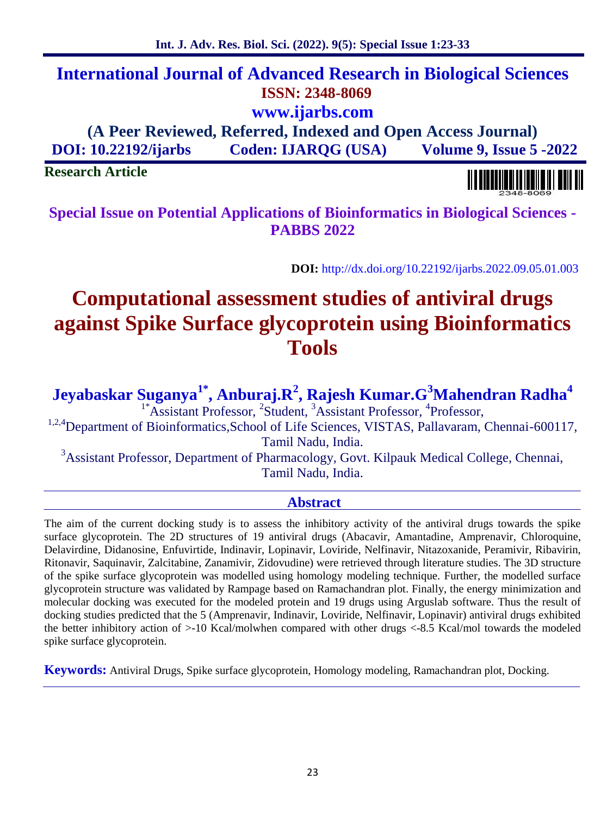# **International Journal of Advanced Research in Biological Sciences ISSN: 2348-8069 www.ijarbs.com**

**(A Peer Reviewed, Referred, Indexed and Open Access Journal) DOI: 10.22192/ijarbs Coden: IJARQG (USA) Volume 9, Issue 5 -2022**

**Research Article**

**Special Issue on Potential Applications of Bioinformatics in Biological Sciences - PABBS 2022**

**DOI:** http://dx.doi.org/10.22192/ijarbs.2022.09.05.01.003

# **Computational assessment studies of antiviral drugs against Spike Surface glycoprotein using Bioinformatics Tools**

**Jeyabaskar Suganya1\* , Anburaj.R<sup>2</sup> , Rajesh Kumar.G<sup>3</sup>Mahendran Radha<sup>4</sup>**

<sup>1\*</sup>Assistant Professor, <sup>2</sup>Student, <sup>3</sup>Assistant Professor, <sup>4</sup>Professor,

<sup>1,2,4</sup>Department of Bioinformatics,School of Life Sciences, VISTAS, Pallavaram, Chennai-600117, Tamil Nadu, India.

<sup>3</sup>Assistant Professor, Department of Pharmacology, Govt. Kilpauk Medical College, Chennai, Tamil Nadu, India.

# **Abstract**

The aim of the current docking study is to assess the inhibitory activity of the antiviral drugs towards the spike surface glycoprotein. The 2D structures of 19 antiviral drugs (Abacavir, Amantadine, Amprenavir, Chloroquine, Delavirdine, Didanosine, Enfuvirtide, Indinavir, Lopinavir, Loviride, Nelfinavir, Nitazoxanide, Peramivir, Ribavirin, Ritonavir, Saquinavir, Zalcitabine, Zanamivir, Zidovudine) were retrieved through literature studies. The 3D structure of the spike surface glycoprotein was modelled using homology modeling technique. Further, the modelled surface glycoprotein structure was validated by Rampage based on Ramachandran plot. Finally, the energy minimization and molecular docking was executed for the modeled protein and 19 drugs using Arguslab software. Thus the result of docking studies predicted that the 5 (Amprenavir, Indinavir, Loviride, Nelfinavir, Lopinavir) antiviral drugs exhibited the better inhibitory action of >-10 Kcal/molwhen compared with other drugs <-8.5 Kcal/mol towards the modeled spike surface glycoprotein.

**Keywords:** Antiviral Drugs, Spike surface glycoprotein, Homology modeling, Ramachandran plot, Docking.

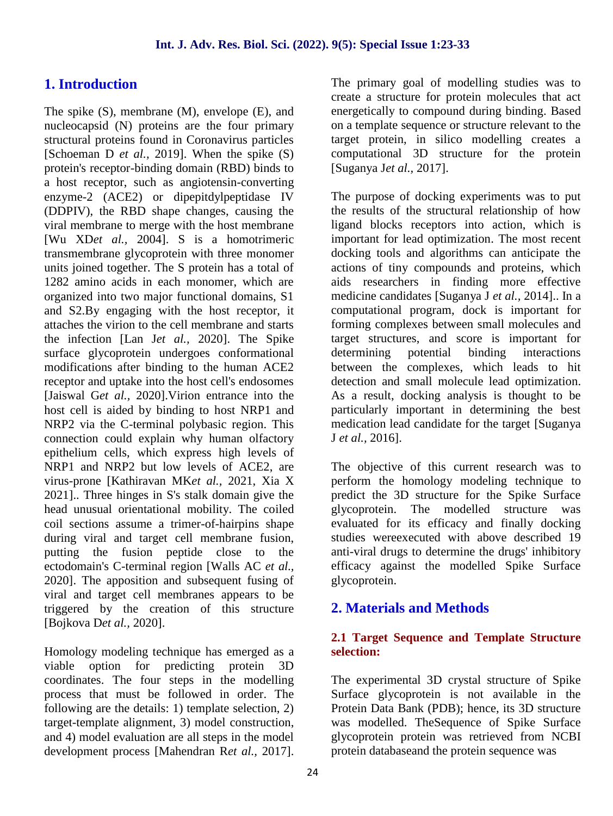# **1. Introduction**

The spike (S), membrane (M), envelope (E), and nucleocapsid (N) proteins are the four primary structural proteins found in Coronavirus particles [Schoeman D *et al.,* 2019]. When the spike (S) protein's receptor-binding domain (RBD) binds to a host receptor, such as angiotensin-converting enzyme-2 (ACE2) or dipepitdylpeptidase IV (DDPIV), the RBD shape changes, causing the viral membrane to merge with the host membrane [Wu XD*et al.,* 2004]. S is a homotrimeric transmembrane glycoprotein with three monomer units joined together. The S protein has a total of 1282 amino acids in each monomer, which are organized into two major functional domains, S1 and S2.By engaging with the host receptor, it attaches the virion to the cell membrane and starts the infection [Lan J*et al.,* 2020]. The Spike surface glycoprotein undergoes conformational modifications after binding to the human ACE2 receptor and uptake into the host cell's endosomes [Jaiswal G*et al.,* 2020].Virion entrance into the host cell is aided by binding to host NRP1 and NRP2 via the C-terminal polybasic region. This connection could explain why human olfactory epithelium cells, which express high levels of NRP1 and NRP2 but low levels of ACE2, are virus-prone [Kathiravan MK*et al.,* 2021, Xia X 2021].. Three hinges in S's stalk domain give the head unusual orientational mobility. The coiled coil sections assume a trimer-of-hairpins shape during viral and target cell membrane fusion, putting the fusion peptide close to the ectodomain's C-terminal region [Walls AC *et al.,* 2020]. The apposition and subsequent fusing of viral and target cell membranes appears to be triggered by the creation of this structure [Bojkova D*et al.,* 2020].

Homology modeling technique has emerged as a viable option for predicting protein 3D coordinates. The four steps in the modelling process that must be followed in order. The following are the details: 1) template selection, 2) target-template alignment, 3) model construction, and 4) model evaluation are all steps in the model development process [Mahendran R*et al.,* 2017]. The primary goal of modelling studies was to create a structure for protein molecules that act energetically to compound during binding. Based on a template sequence or structure relevant to the target protein, in silico modelling creates a computational 3D structure for the protein [Suganya J*et al.,* 2017].

The purpose of docking experiments was to put the results of the structural relationship of how ligand blocks receptors into action, which is important for lead optimization. The most recent docking tools and algorithms can anticipate the actions of tiny compounds and proteins, which aids researchers in finding more effective medicine candidates [Suganya J *et al.,* 2014].. In a computational program, dock is important for forming complexes between small molecules and target structures, and score is important for determining potential binding interactions between the complexes, which leads to hit detection and small molecule lead optimization. As a result, docking analysis is thought to be particularly important in determining the best medication lead candidate for the target [Suganya J *et al.,* 2016].

The objective of this current research was to perform the homology modeling technique to predict the 3D structure for the Spike Surface glycoprotein. The modelled structure was evaluated for its efficacy and finally docking studies wereexecuted with above described 19 anti-viral drugs to determine the drugs' inhibitory efficacy against the modelled Spike Surface glycoprotein.

# **2. Materials and Methods**

### **2.1 Target Sequence and Template Structure selection:**

The experimental 3D crystal structure of Spike Surface glycoprotein is not available in the Protein Data Bank (PDB); hence, its 3D structure was modelled. TheSequence of Spike Surface glycoprotein protein was retrieved from NCBI protein databaseand the protein sequence was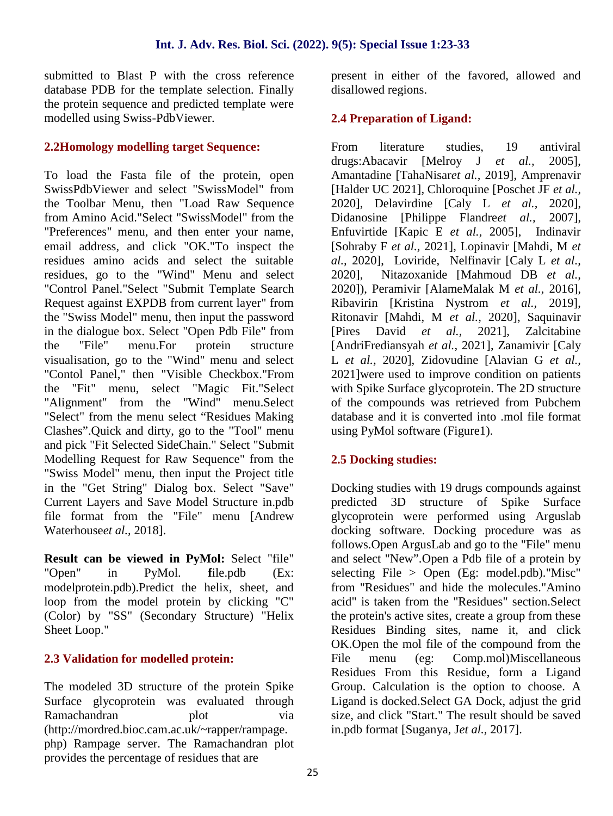submitted to Blast P with the cross reference database PDB for the template selection. Finally the protein sequence and predicted template were modelled using Swiss-PdbViewer.

#### **2.2Homology modelling target Sequence:**

To load the Fasta file of the protein, open SwissPdbViewer and select "SwissModel" from the Toolbar Menu, then "Load Raw Sequence from Amino Acid."Select "SwissModel" from the "Preferences" menu, and then enter your name, email address, and click "OK."To inspect the residues amino acids and select the suitable residues, go to the "Wind" Menu and select "Control Panel."Select "Submit Template Search Request against EXPDB from current layer" from the "Swiss Model" menu, then input the password in the dialogue box. Select "Open Pdb File" from the "File" menu.For protein structure visualisation, go to the "Wind" menu and select "Contol Panel," then "Visible Checkbox."From the "Fit" menu, select "Magic Fit."Select "Alignment" from the "Wind" menu.Select "Select" from the menu select "Residues Making Clashes".Quick and dirty, go to the "Tool" menu and pick "Fit Selected SideChain." Select "Submit Modelling Request for Raw Sequence" from the "Swiss Model" menu, then input the Project title in the "Get String" Dialog box. Select "Save" Current Layers and Save Model Structure in.pdb file format from the "File" menu [Andrew Waterhouse*et al.,* 2018].

**Result can be viewed in PyMol:** Select "file" "Open" in PyMol. **f**ile.pdb (Ex: modelprotein.pdb).Predict the helix, sheet, and loop from the model protein by clicking "C" (Color) by "SS" (Secondary Structure) "Helix Sheet Loop."

#### **2.3 Validation for modelled protein:**

The modeled 3D structure of the protein Spike Surface glycoprotein was evaluated through Ramachandran plot via (http://mordred.bioc.cam.ac.uk/~rapper/rampage. php) Rampage server. The Ramachandran plot provides the percentage of residues that are

present in either of the favored, allowed and disallowed regions.

# **2.4 Preparation of Ligand:**

From literature studies, 19 antiviral drugs:Abacavir [Melroy J *et al.,* 2005], Amantadine [TahaNisar*et al.,* 2019], Amprenavir [Halder UC 2021], Chloroquine [Poschet JF *et al.,* 2020], Delavirdine [Caly L *et al.,* 2020], Didanosine [Philippe Flandre*et al.,* 2007], Enfuvirtide [Kapic E *et al.,* 2005], Indinavir [Sohraby F *et al.,* 2021], Lopinavir [Mahdi, M *et al.,* 2020], Loviride, Nelfinavir [Caly L *et al.,* 2020], Nitazoxanide [Mahmoud DB *et al.,* 2020]), Peramivir [AlameMalak M *et al.,* 2016], Ribavirin [Kristina Nystrom *et al.,*2019], Ritonavir [Mahdi, M *et al.,* 2020], Saquinavir [Pires David *et al.,* 2021], Zalcitabine [AndriFrediansyah *et al.,* 2021], Zanamivir [Caly L *et al.,* 2020], Zidovudine [Alavian G *et al.,* 2021]were used to improve condition on patients with Spike Surface glycoprotein. The 2D structure of the compounds was retrieved from Pubchem database and it is converted into .mol file format using PyMol software (Figure1).

# **2.5 Docking studies:**

Docking studies with 19 drugs compounds against predicted 3D structure of Spike Surface glycoprotein were performed using Arguslab docking software. Docking procedure was as follows.Open ArgusLab and go to the "File" menu and select "New".Open a Pdb file of a protein by selecting File  $>$  Open (Eg: model.pdb). "Misc" from "Residues" and hide the molecules."Amino acid" is taken from the "Residues" section.Select the protein's active sites, create a group from these Residues Binding sites, name it, and click OK.Open the mol file of the compound from the File menu (eg: Comp.mol)Miscellaneous Residues From this Residue, form a Ligand Group. Calculation is the option to choose. A Ligand is docked.Select GA Dock, adjust the grid size, and click "Start." The result should be saved in.pdb format [Suganya, J*et al.,* 2017].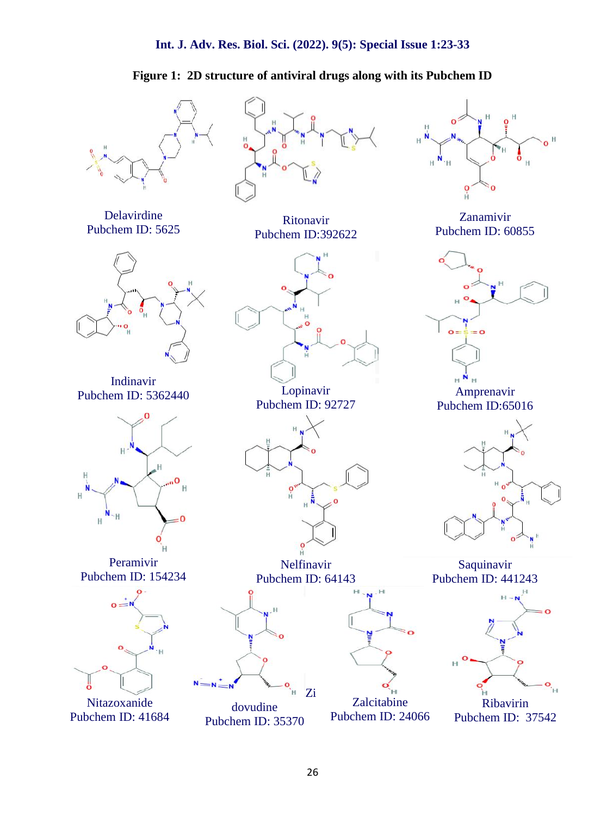# **Figure 1: 2D structure of antiviral drugs along with its Pubchem ID**



Pubchem ID: 41684

Pubchem ID: 35370

Pubchem ID: 24066

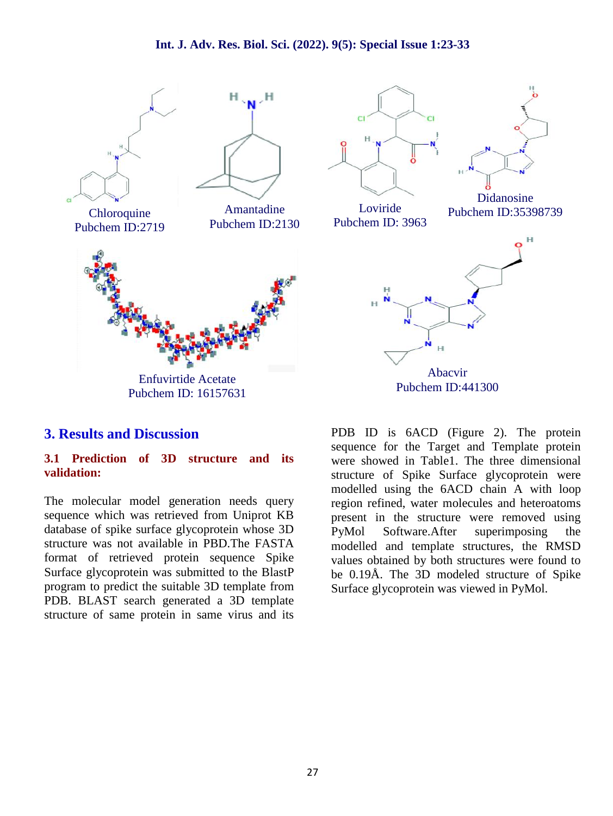#### **Int. J. Adv. Res. Biol. Sci. (2022). 9(5): Special Issue 1:23-33**



# **3. Results and Discussion**

#### **3.1 Prediction of 3D structure and its validation:**

The molecular model generation needs query sequence which was retrieved from Uniprot KB database of spike surface glycoprotein whose 3D PyMol structure was not available in PBD.The FASTA format of retrieved protein sequence Spike Surface glycoprotein was submitted to the BlastP program to predict the suitable 3D template from PDB. BLAST search generated a 3D template structure of same protein in same virus and its

PDB ID is 6ACD (Figure 2). The protein sequence for the Target and Template protein were showed in Table1. The three dimensional structure of Spike Surface glycoprotein were modelled using the 6ACD chain A with loop region refined, water molecules and heteroatoms present in the structure were removed using Software.After superimposing the modelled and template structures, the RMSD values obtained by both structures were found to be 0.19Å. The 3D modeled structure of Spike Surface glycoprotein was viewed in PyMol.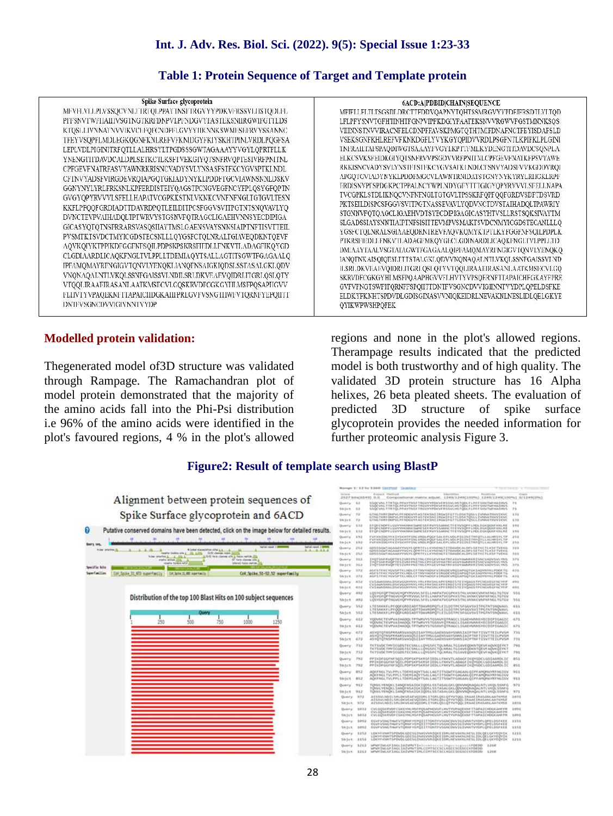**Table 1: Protein Sequence of Target and Template protein**

|  | Spike Surface glycoprotein |
|--|----------------------------|
|  |                            |

MEVELVLLPLVSSOCVNLTTRTOLPPAYTNSFTRGVYYPDKVFRSSVLJISTODLFL PFFSNVTWFIIAIIIVSGTNGTKRIDNPVLPFNDGVYFASTEKSNIIRGWIFGTTLDS KTQSLLJVNNATNVVIKVCEFQFCNDPFLGVYYHKNNKSWMESEFRVYSSANNC TFEYVSQPFLMDLEGKQGNFKNLREFVFKNIDGYFKIYSKHTPINLVRDLPQGFSA LEPLVDLPIGINITRFQTLLALHRSYLTPGDSSSGWTAGAAAYYVGYLQPRTFLLK YNENGITIDAVDCALDPLSETKCTLKSFTVEKGIYQTSNFRVQPTESIVRFPNITNL CPFGEVFNATRFASVYAWNRKRISNCVADYSVLYNSASFSTFKCYGVSPTKLNDL CFTNVYADSFVIRGDEVRQIAPGQTGKIADYNYKLPDDFTGCVIAWNSNNLDSKV GGNYNYLYRLFRKSNLKPFERDISTEIYQAGSTPCNGVEGFNCYFPLQSYGFQPTN GVGYQPYRVVVLSFELLHAPATVCGPKKSTNLVKNKCVNFNFNGLTGTGVLTESN KKFLPFOOFGRDIADTTDAVRDPOTLEILDITPCSFGGVSVITPGTNTSNOVAVLYO DVNCTEVPVAIHADQLTPTWRVYSTGSNVFQTRAGCLIGAEHVNNSYECDIPIGA GICASYQTQTNSPRRARSVASQSIIAYTMSLGAENSVAYSNNSIAIPTNFTISVTTEIL PVSMTKTSVDCTMYICGDSTECSNLLLQYGSFCTQLNRALTGIAVEQDKNTQEVF AOVKOIYKTPPIKDFGGFNFSQILPDPSKPSKRSFIEDLLFNKVTLADAGFIKQYGD CLGDIAARDLICAQKFNGLTVLPPLLTDEMIAQYTSALLAGTITSGWTFGAGAALQ IPFAMQMAYRFNGIGVTQNVLYENQKLJANQFNSAIGKIQDSLSSTASALGKLQDV VNONAQALNTLVKQLSSNFGAISSVLNDILSRLDKVEAEVQIDRLITGRLQSLQTY VTQQLIRAAEIRASANLAATKMSECVLGQSKRVDFCGKGYHLMSFPQSAPHGVV FLIIVTYVPAQEKNFTTAPAICIIDGKAIIFPREGVFVSNGTIIWFVTQRNFYEPQIFT DNIFVSGNCDVVIGIVNNTVYDP

#### **Modelled protein validation:**

Thegenerated model of3D structure was validated through Rampage. The Ramachandran plot of model protein demonstrated that the majority of the amino acids fall into the Phi-Psi distribution i.e 96% of the amino acids were identified in the plot's favoured regions, 4 % in the plot's allowed

6ACD:A|PDBID|CHAIN|SEQUENCE MFIFILELTLTSGSDLDRCTTFDDVQAPNYTQHTSSMRGVYYPDEIFRSDTLYLTQD LFLPFYSNVTGFHTINHTFGNPVIPFKDGIYFAATEKSNVVRGWVFGSTMNNKSOS VIIINNSTNVVIRACNFELCDNPFFAVSKPMGTQTHTMIFDNAFNCTFEYISDAFSLD VSEKSGNFKHLREFVFKNKDGFLYVYKGYOPIDVVRDLPSGFNTLKPIFKLPLGINI TNFRAILTAFSPAQDIWGTSAAAYFVGYLKPTTFMLKYDENGTITDAVDCSQNPLA ELKCSVKSFEIDKGIYQTSNFRVVPSGDVVRFPNITNLCPFGEVFNATKFPSVYAWE RKKISNCVADYSVI/YNSTFFSTFKCYGVSATKI.NDLCTSNVYADSFVVKGDDVRQI APGQTGVIADYNYKLPDDFMGCVLAWNTRNIDATSTGNYNYKYRYLRHGKLRPF ERDISNVPESPDGKPCTPPALNCYWPLNDYGEYTTIGIGYQPYRVVVLSEELLNAPA TVCGPKLSTDLIKNQCVNFNFNGLTGTGVLTPSSKRFQPFQQFGRDVSDFTDSVRD PKTSEILDISPCSFGGVSVITPGTNASSEVAVLYQDVNCTDVSTAIHADQLTPAWRIY STGNNVFOTOAGCLIGAEHVDTSYECDIPIGAGICASYHTVSLLRSTSOKSIVAYTM SLGADSSIAYSNNTIAIPTNFSISITTEVMPVSMAKTSVDCNMYICGDSTECANLLLQ YGSFCTQLNRALSGIAAEQDRNTREVFAQVKQMYKTPTLKYFGGFNFSQILPDPLK PTKRSFIEDLEFNK VTLADAGEMKQYGECLGDINARDLICAQKFNGLTVLPPLETD DMIAAYTAALVSGTATAGWTFGAGAALQIPFAMQMAYRFNGIGVTQNVLYENQKQ IANOTNK AISOIQESLTTTSTALGKLQDVVNQNAQALNTLVKQLSSNFGAISSVLND ILSRLDKVEAEVQIDRLITGRLQSLQTYVTQQLIRAAEIRASANLAATKMSECVLGQ SKRVDFCGKGYHLMSFPQAAPHGVVFLHVTYVPSQERNFTTAPAICHEGKAYFPRE GVFVFNGTSWFITQRNFFSPQIITTDNTFVSGNCDVVIGIINNTVYDPLQPELDSFKE ELDKYFKNHTSPDVDLGDISGINASVVNIQKEIDRLNEVAKNLNESLIDLQELGKYE QYIKWPWSHPQFEK

regions and none in the plot's allowed regions. Therampage results indicated that the predicted model is both trustworthy and of high quality. The validated 3D protein structure has 16 Alpha helixes, 26 beta pleated sheets. The evaluation of 3D structure of spike surface glycoprotein provides the needed information for further proteomic analysis Figure 3.

#### **Figure2: Result of template search using BlastP**

|                                                                                                                                     |                             |                                                                                                                                                                  | Mange 1: 13 to 1340 Geneval Guarno<br>The County Library of the County                                                                                                                              |                |  |
|-------------------------------------------------------------------------------------------------------------------------------------|-----------------------------|------------------------------------------------------------------------------------------------------------------------------------------------------------------|-----------------------------------------------------------------------------------------------------------------------------------------------------------------------------------------------------|----------------|--|
| Alignment between protein sequences of                                                                                              |                             | Expert Hethod<br><b><i><u>Printfilling</u></i></b><br>13 Agir<br>Compositional matrix adjust. 1249/1249(100%) 1249/1249(100%) 5/1249(07%)<br>2527 8/16(5545) 0.0 |                                                                                                                                                                                                     |                |  |
|                                                                                                                                     |                             | During 11                                                                                                                                                        | 550CVNLTTRTQLPPAYTS5FTRD/IVPDCvFRSIVLHST00LFLPFF5NV1WHA3HVS<br>SSOCVILLTTIETOLPPAVTIUSFTRGVYVPOKVERS/LVLHSTODLFLPFFSHVTWFHASHVS                                                                     |                |  |
|                                                                                                                                     |                             | $10.5c$ t 13                                                                                                                                                     | SSOCVAL TTRTOLPPAYTICLETROVYPOXYES/V4.HSTOR-ELPEESAVTWINAEWS                                                                                                                                        | 71             |  |
| Spike Surface glycoprotein and 6ACD                                                                                                 |                             | Query 72                                                                                                                                                         | 6TN6TKRFDNPyLPFHDGVYEASTEKINI3TRGx3F6TTLDSKTQSLL3VHNATWV3KVC<br>6TM/TORFONPYLPHISOVYFASTEKINT PKMTFGTTLDSKTQSLLTVMATHWTKVK                                                                          | 3.33           |  |
|                                                                                                                                     |                             | Models 73<br>$0$ very $-132$                                                                                                                                     | EX DE CHOPE LOVYVINDENCSAME SEE RVYSSARING TE EVVSORE LIKIN, EGKOGENEVIN, RE                                                                                                                        | 3.38<br>3.98   |  |
| Putative conserved domains have been detected, click on the image below for detailed results.                                       |                             | <b>Modell: 132</b>                                                                                                                                               | EX OF CADIFICATIVE MUSEUM SAFEK SEE BY VS SARRIC TE EVYSOPE LIKK, EGA DONE KNULRE<br>ET OF CHOPY LUVY (HERRICUM SEPTEM YSSANNETFEV VSOFFLHOLD COORD FINERS)                                         | 3.95           |  |
|                                                                                                                                     |                             | Querry 193                                                                                                                                                       |                                                                                                                                                                                                     | $2 - 1$        |  |
| <b>GLASS 12</b>                                                                                                                     |                             |                                                                                                                                                                  | FVERSTOGYEKTYSKHEPIN, VRDLPQGF SALEPLVOLPIGIH I TREQTLLAUMSYLTP<br>FVERSTOGYEKTYSKHEPIN, VRDLPQGF SALEPLVOLPIGIH TREQTLLAUMSYLTP<br>FVERSIDSYEKTYSKHEPIN, VRDLPQGF SALEPLVOLPIGIH I TREQTLLAUMSYLTP | 353            |  |
| <b>Exploral counsel 1.8</b><br>hartoni capach 2 MM<br>a linkel signatures after A.L.<br>front planned.<br>1, 1, 0<br>1.11           |                             | Querty 152                                                                                                                                                       | GESSSGATAGAAAVVVVVLOPRTFLLKVNENGTETGAADCALDPLSETKCTLKSFTVEIG.<br>GESSSGATAGAAAVVVVLVLOPRTFLLKVNENGTETGAVEKALDPLSETKCTLKSFTVEXG.                                                                     | <b>BEE</b>     |  |
| calgrier business after A. 1720, AUCO-<br>SAU classes rapes [111]<br>5.50 firm claims are a rate, saftle 202<br>how started & All & | 161/4 JSI                   |                                                                                                                                                                  | GDS/LSGGTAGAAAVYVQYLQPRTFLLKYMENGT1T0M/OCALDPLSETSCTLESFTVEXG                                                                                                                                       | 383            |  |
| 12" furie classes adm.<br>state wines 103.<br>marke today and<br><b>Inferent Rates metals</b>                                       |                             | Querry 117                                                                                                                                                       | KOTSAR RAGIPTES I VREPKIT TKL-CPPGEVFIAATREASVYAIARKKA SAKSVADVSAL VIVS<br>YOT SAILRADP TESTWIFPNETNS CPEGEVENALTREASY/VAMPIRRETAN VADYSVLYNS                                                       | 3.PR           |  |
| Specific hits                                                                                                                       | \$65(t) \$13<br>$Quary$ 322 |                                                                                                                                                                  | INDISAFRADETES IVRFPNI TRA CEFGEVERATREASVYAMMORESACVADYSVLYNS                                                                                                                                      | 373<br>$-0.33$ |  |
| CoV Spike 51-52.52 superfamily<br><b><i>kovrfanillas</i></b><br>Solks St NTD superfamily<br>CIP, Selle 10, RBD agent with           | 50-344 372                  |                                                                                                                                                                  | ASESTEK VOVSPTKLMR, CETWYMINEVERGEVROLAPSOTÓLTADYNYK, PÓDETG.<br>ASESTEK (YOVSPTKLMR, CETWYMINEVERGIAPSOTÓLTADYNYK) ENGELEDDETG.<br>ASFSTEKCYGVSPTKLNOLCFTWVHzOSFV1RiotVRGLAPG(FIALADVIKYKLPDDFTG)  | 4.31           |  |
|                                                                                                                                     | Query 432                   |                                                                                                                                                                  | CV3.AivR/SAAULD/S/CVGGXVHVVLVRLER/SAGUEPS ERDSSTEEVQAUSTPCNGVEGENCVEP-                                                                                                                              |                |  |
|                                                                                                                                     |                             | Shirt 432                                                                                                                                                        | Cy Lawryan, pszycjanny vechassa pri recist r pyjacs trowycju s w yne.<br>Cy Lawran, pszycjanny vechacja pri recist tr pyjacs trowycju novie                                                         | A/M H          |  |
| Distribution of the top 100 Blast Hits on 100 subject sequences<br><b>Outra</b>                                                     |                             | $-4/92$                                                                                                                                                          | LOSYGEOPTNOVCYOPYRVVVLSEELLHARATVCGPKKSTRLVKNKCVIMENENGLTGTGV<br>QVYGFQPTNGW/VQPYRVVVLSFELLHAPATVCGPKKSTNLVKXKCVItFIVFIVGLTGTGV                                                                     | 551            |  |
|                                                                                                                                     |                             | $-493$                                                                                                                                                           | LOVYGEOPTNOVCYOPYRVVVL5EELLHAPATVCGPKKSTNLVKNKCVMENENGLTGTGV                                                                                                                                        | 551            |  |
|                                                                                                                                     |                             | Quary 552                                                                                                                                                        | LTESNOGLPFOOFGROZADTTDAVRDPOTLEILDETPCSFGGVSVITPGTNTSRQVAVL<br>LTESNOGLPFOOFGROZADTTDAVRDPOTLEILDETPCSFGGVSVITPGTNTSRQVAVL                                                                          | 611            |  |
|                                                                                                                                     |                             | $-5/5.2$                                                                                                                                                         | LTESNOIFLPFOGFGRDIADTTDAVRDPOTLEILDETPCSFGGVSVITPGTMTSMOWWL                                                                                                                                         | $-0.13$        |  |
| 500<br>750<br>250<br>1000                                                                                                           | Query.                      | 0.1.2                                                                                                                                                            | YODVNETEVPVAIHADOLTPTNRVYSTGSNVFOTRAGELIGADHARISYECDIPIGAGIC<br>VOOVINCTEVPVADHADGLTPTWRVYSTG5NVPQTRAGCLIGAEHVIMESVECDEPIDAGE(                                                                      | 6.73           |  |
|                                                                                                                                     | 50-5ct 612                  |                                                                                                                                                                  | YODWKETEVPVAIHADGLTPTNRYYSTGSHVFGTRAGCLIGADHVRRSYECDIPIGAG3C                                                                                                                                        | 671            |  |
|                                                                                                                                     | Querry 672                  |                                                                                                                                                                  | ASYQTQTRSPRRARSVASQSI1AYTMSLGAENSVAYSINISIA1PTNFT1SVTTE1LPVSR<br>ASYQTQTNSPRRARSvASQS11AYTHSLGAENSVAYSNNS1A1PTNFT1SVTTE1LPVSH                                                                       | 721            |  |
|                                                                                                                                     | Stylen.                     | $-0.72$                                                                                                                                                          | ASYGTOTUSPRRARS/vASGSIJAYTHS/GAENS/WYSHHSIAIPTHFTISVTTEILPVSH 731                                                                                                                                   |                |  |
|                                                                                                                                     | Query                       | 732                                                                                                                                                              | TKTSVOCTHY3EGDSTECSNLLLQWGS/CTQLNRALTGLAVEQDKNTQEVFAQVIOJTVKT<br>ECESVOCTIVECODS EECSNILL LOVGSPCTQLMMALTGEAVEDDKNTQEVFAQVKQEVKT                                                                    | 791            |  |
|                                                                                                                                     | $50.54$ .<br>733            |                                                                                                                                                                  | TKTSVOCTHYSCGOSTECSHLLLQYGSFCTQLNRALTG1AVEQDKXTQEVFAQVKQ1YKT                                                                                                                                        | $-791$         |  |
|                                                                                                                                     | Querry.                     | 792                                                                                                                                                              | PPIXDF6GFNF5Q1LPDP5KP5KKF31DLLFNKVTLADAGFIXQYIDCLGDIAARDLIC                                                                                                                                         | $-0.51$        |  |
|                                                                                                                                     | Shitch.                     | 792                                                                                                                                                              | PPIXDFGGFNFSÖLLPDPSKPSKRSFIEDLLFNKVTLADAGFIKÖVÜDLLGDEAARDLIG<br>PPTKDFGGENFSQTLPDPSKPSKRSFIEDLLFNKVTLADAGFIKQVGDCLGDIAARDLIC                                                                        | 851            |  |
|                                                                                                                                     | - 85.2<br>Ouerry.           |                                                                                                                                                                  | AOKFNGLTVLPPLLT06HEAOYTSALLAGTETSGWTFGAGAALOIPFAMONAVRFNGDGV                                                                                                                                        | $-911$         |  |
|                                                                                                                                     | Sbjct #52                   |                                                                                                                                                                  | ADOFNGLTVLPPLLTDEHIADYTSALLAGTETSGHTFGAGAALQIPFAHQHAYRFNGIGV<br>AOKFNGLTVLPPLLTDEHIAQYTSALLAGTITSGATFGAGAALQIPFAMQHAVKFNGDGV 911                                                                    |                |  |
|                                                                                                                                     | Query 912                   |                                                                                                                                                                  | TOWN YENDIL SANOFMEATOKTOOSLSSTASALGKLODVWIQNAQALNTI, VKOLSSNFG                                                                                                                                     | 971            |  |
|                                                                                                                                     | Sh-Sct.                     | 912                                                                                                                                                              | TOWN, YENDKI, TANDENSATGK I ODSL SSTASALGKI, ODVANDNADA, NTL VKOLSSNEG<br>TOWN, YENDKI, TANDENSATGK I ODSL SSTASALGKI, ODVANDNADA, NTL VKOLSSNEG                                                    | 971            |  |
|                                                                                                                                     | Query                       | ATEEVANDILSALDKVEAEVOIDRLITGALQSLQTYVTQQLIKAAEIRASAALDRESE<br>$-0.72$<br>ATSSVLNDI), SRUDOVEAEVÖDDRI, ETGRUÖSI, ÖTYVTÖÖL DRAAE IRASANI, AATOYSE                  |                                                                                                                                                                                                     | 2.011          |  |
|                                                                                                                                     | Sbjit.                      | 772                                                                                                                                                              | ATSSVLNDI) SRLDKVEAEVÖZDRLSTGRLÖFLGTYVTÖÖL TRAAETRASANLAATRISE                                                                                                                                      | <b>BOTK</b>    |  |
|                                                                                                                                     | Query                       | \$43.3                                                                                                                                                           | EVUSOSKIRVEIFCGKKVIN, HISPOSAPHOVVFUWTVVPAOEKNFTTAPATCHOGKAHFIYE                                                                                                                                    | 3 8 9 11       |  |
|                                                                                                                                     | Sbitch                      | 3453                                                                                                                                                             | CVLGOSKRIDFCGKGYMLHSFFQSAPHGVVFLHVTYVPAQEXNFTTAPAICHDGKAHFPR<br>CVLGQSKRVDFCGKGYMLHSFFQSAPHGVVFLHVTYVPAQEXNFTTAPAICHDGKAHFPR                                                                        | 3.0911         |  |
|                                                                                                                                     | Duery                       | 1092                                                                                                                                                             | EGVEVSNGTHGFVTQRMFYEPQIITTOKTEVSGMCDVVIGIVMFVYDPLQPELDSFKEE<br>EGVEVSNGTHGFVTQRMFYEPQIITTDNTFVSGMCDVVIGIVMFVYDPLQPELDSFKEE                                                                          | 3355           |  |
|                                                                                                                                     |                             |                                                                                                                                                                  |                                                                                                                                                                                                     |                |  |
|                                                                                                                                     | 58/34%                      | 149.3                                                                                                                                                            | EGVFVSNGTHGFVTORNFYEPO3 ITTONTFVSSNCDVVISJVM/TVYDPLOPELDSFEEE                                                                                                                                       | 1151           |  |
|                                                                                                                                     | Querty                      | 111.                                                                                                                                                             | LOCYFKNHTSPDVDLGD2SG1NAV/VNSQKET0RLHEVAKNLNESLIDLQELGKYEQYTK<br>LDKYF OMTSPOVDLGDI SG1NASVWH2QUE10HLNEVAUNLNESLIDLQELGCYEQY2x                                                                       | 3.223          |  |
|                                                                                                                                     | 5h544<br>Query              | 1152<br>1212                                                                                                                                                     | LDEVERMITLPDVDLGDI3GITMIVV/HISSOIIDRLMFVAKRUAESLIDLGELGKYEGYIW<br>WWW.THIGETAGLIAEUWVTI-lowescenclippescriptions9000 1208                                                                           | 3.211          |  |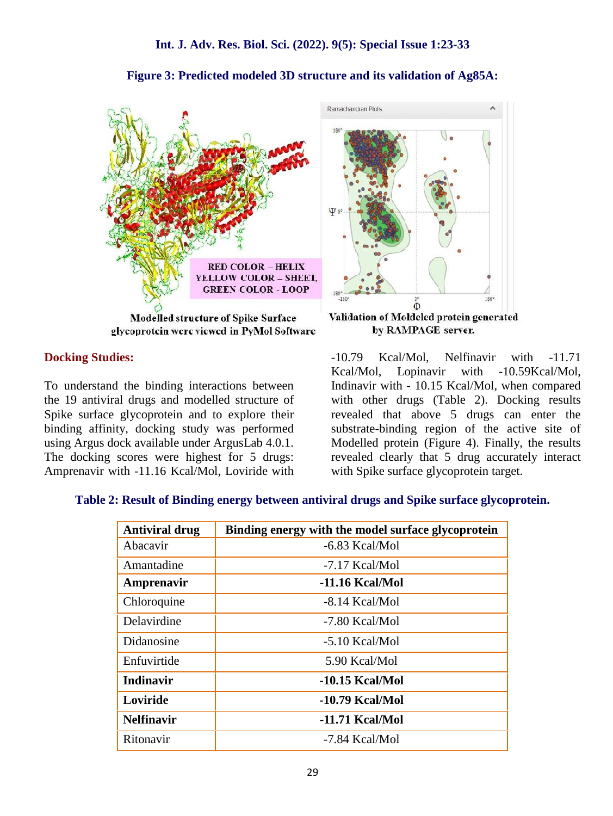

#### **Figure 3: Predicted modeled 3D structure and its validation of Ag85A:**

glycoprotein were viewed in PyMol Software

#### **Docking Studies:**

To understand the binding interactions between the 19 antiviral drugs and modelled structure of Spike surface glycoprotein and to explore their binding affinity, docking study was performed using Argus dock available under ArgusLab 4.0.1. The docking scores were highest for 5 drugs: Amprenavir with -11.16 Kcal/Mol, Loviride with

Validation of Moldeled protein generated by RAMPAGE server. -10.79 Kcal/Mol, Nelfinavir with -11.71 Kcal/Mol, Lopinavir with -10.59Kcal/Mol, Indinavir with - 10.15 Kcal/Mol, when compared with other drugs (Table 2). Docking results revealed that above 5 drugs can enter the

substrate-binding region of the active site of Modelled protein (Figure 4). Finally, the results revealed clearly that 5 drug accurately interact with Spike surface glycoprotein target.

#### **Table 2: Result of Binding energy between antiviral drugs and Spike surface glycoprotein.**

| <b>Antiviral drug</b> | Binding energy with the model surface glycoprotein |
|-----------------------|----------------------------------------------------|
| Abacavir              | -6.83 Kcal/Mol                                     |
| Amantadine            | -7.17 Kcal/Mol                                     |
| Amprenavir            | $-11.16$ Kcal/Mol                                  |
| Chloroquine           | -8.14 Kcal/Mol                                     |
| Delavirdine           | -7.80 Kcal/Mol                                     |
| Didanosine            | $-5.10$ Kcal/Mol                                   |
| Enfuvirtide           | 5.90 Kcal/Mol                                      |
| <b>Indinavir</b>      | $-10.15$ Kcal/Mol                                  |
| Loviride              | -10.79 Kcal/Mol                                    |
| <b>Nelfinavir</b>     | -11.71 Kcal/Mol                                    |
| Ritonavir             | -7.84 Kcal/Mol                                     |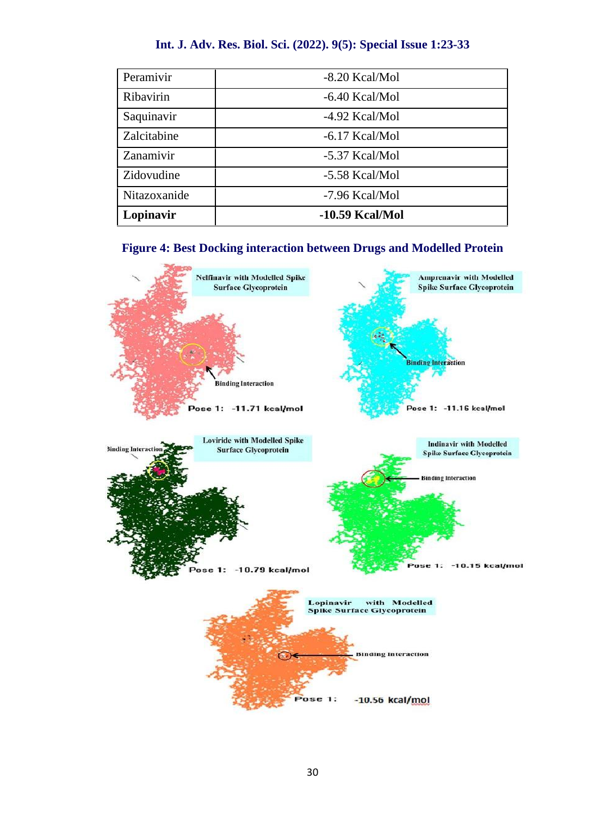### **Int. J. Adv. Res. Biol. Sci. (2022). 9(5): Special Issue 1:23-33**

| Peramivir    | $-8.20$ Kcal/Mol  |
|--------------|-------------------|
| Ribavirin    | $-6.40$ Kcal/Mol  |
| Saquinavir   | -4.92 Kcal/Mol    |
| Zalcitabine  | $-6.17$ Kcal/Mol  |
| Zanamivir    | -5.37 Kcal/Mol    |
| Zidovudine   | -5.58 Kcal/Mol    |
| Nitazoxanide | -7.96 Kcal/Mol    |
| Lopinavir    | $-10.59$ Kcal/Mol |



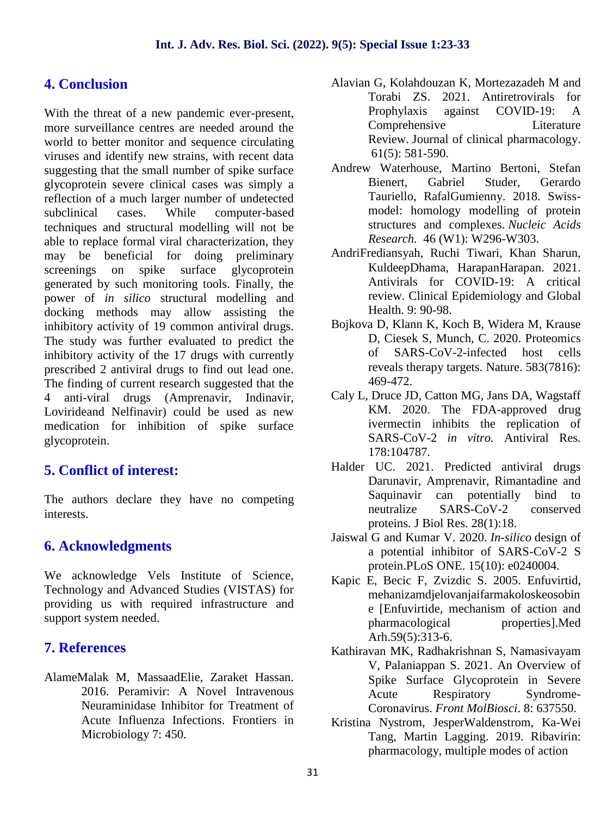# **4. Conclusion**

With the threat of a new pandemic ever-present, more surveillance centres are needed around the world to better monitor and sequence circulating viruses and identify new strains, with recent data suggesting that the small number of spike surface glycoprotein severe clinical cases was simply a reflection of a much larger number of undetected subclinical cases. While computer-based techniques and structural modelling will not be able to replace formal viral characterization, they may be beneficial for doing preliminary screenings on spike surface glycoprotein generated by such monitoring tools. Finally, the power of *in silico* structural modelling and docking methods may allow assisting the inhibitory activity of 19 common antiviral drugs. The study was further evaluated to predict the inhibitory activity of the 17 drugs with currently prescribed 2 antiviral drugs to find out lead one. The finding of current research suggested that the 4 anti-viral drugs (Amprenavir, Indinavir, Lovirideand Nelfinavir) could be used as new medication for inhibition of spike surface glycoprotein.

# **5. Conflict of interest:**

The authors declare they have no competing interests.

# **6. Acknowledgments**

We acknowledge Vels Institute of Science, Technology and Advanced Studies (VISTAS) for providing us with required infrastructure and support system needed.

# **7. References**

AlameMalak M, MassaadElie, Zaraket Hassan. 2016. Peramivir: A Novel Intravenous Neuraminidase Inhibitor for Treatment of Acute Influenza Infections. Frontiers in Microbiology 7: 450.

- Alavian G, Kolahdouzan K, Mortezazadeh M and Torabi ZS. 2021. Antiretrovirals for Prophylaxis against COVID-19: A Comprehensive Literature Review. Journal of clinical pharmacology. 61(5): 581-590.
- Andrew Waterhouse, Martino Bertoni, Stefan Bienert, Gabriel Studer, Gerardo Tauriello, RafalGumienny. 2018. Swiss model: homology modelling of protein structures and complexes. *Nucleic Acids Research.* 46 (W1): W296-W303.
- AndriFrediansyah, Ruchi Tiwari, Khan Sharun, KuldeepDhama, HarapanHarapan. 2021. Antivirals for COVID-19: A critical review. Clinical Epidemiology and Global Health. 9: 90-98.
- Bojkova D, Klann K, Koch B, Widera M, Krause D, Ciesek S, Munch, C. 2020. Proteomics of SARS-CoV-2-infected host cells reveals therapy targets. Nature. 583(7816): 469-472.
- Caly L, Druce JD, Catton MG, Jans DA, Wagstaff KM. 2020. The FDA-approved drug ivermectin inhibits the replication of SARS-CoV-2 *in vitro.* Antiviral Res. 178:104787.
- Halder UC. 2021. Predicted antiviral drugs Darunavir, Amprenavir, Rimantadine and Saquinavir can potentially bind to neutralize SARS-CoV-2 conserved proteins. J Biol Res. 28(1):18.
- Jaiswal G and Kumar V. 2020. *In-silico* design of a potential inhibitor of SARS-CoV-2 S protein.PLoS ONE. 15(10): e0240004.
- Kapic E, Becic F, Zvizdic S. 2005. Enfuvirtid, mehanizamdjelovanjaifarmakoloskeosobin e [Enfuvirtide, mechanism of action and pharmacological properties].Med Arh.59(5):313-6.
- Kathiravan MK, Radhakrishnan S, Namasivayam V, Palaniappan S. 2021. An Overview of Spike Surface Glycoprotein in Severe Acute Respiratory Syndrome- Coronavirus. *Front MolBiosci*. 8: 637550.
- Kristina Nystrom, JesperWaldenstrom, Ka-Wei Tang, Martin Lagging. 2019. Ribavirin: pharmacology, multiple modes of action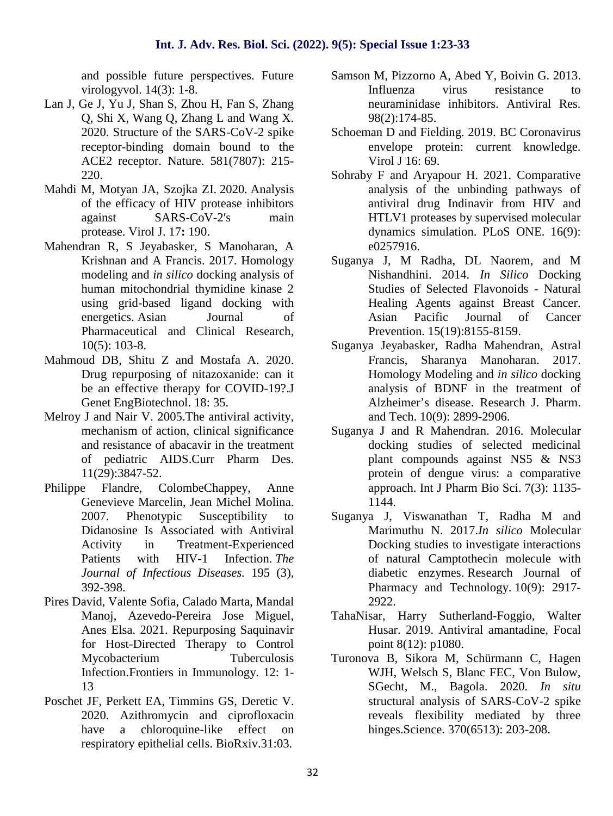and possible future perspectives. Future virologyvol. 14(3): 1-8.

- Lan J, Ge J, Yu J, Shan S, Zhou H, Fan S, Zhang Q, Shi X, Wang Q, Zhang L and Wang X. 2020. Structure of the SARS-CoV-2 spike receptor-binding domain bound to the ACE2 receptor. Nature. 581(7807): 215- 220.
- Mahdi M, Motyan JA, Szojka ZI. 2020*.* Analysis of the efficacy of HIV protease inhibitors against SARS-CoV-2 s main protease. Virol J. 17**:** 190.
- Mahendran R, S Jeyabasker, S Manoharan, A Krishnan and A Francis. 2017. Homology modeling and *in silico* docking analysis of human mitochondrial thymidine kinase 2 using grid-based ligand docking with energetics. Asian Journal of Pharmaceutical and Clinical Research, 10(5): 103-8.
- Mahmoud DB, Shitu Z and Mostafa A. 2020. Drug repurposing of nitazoxanide: can it be an effective therapy for COVID-19?.J Genet EngBiotechnol. 18: 35.
- Melroy J and Nair V. 2005.The antiviral activity, mechanism of action, clinical significance and resistance of abacavir in the treatment of pediatric AIDS.Curr Pharm Des. 11(29):3847-52.
- Philippe Flandre, ColombeChappey, Anne Genevieve Marcelin, Jean Michel Molina. 2007. Phenotypic Susceptibility to Didanosine Is Associated with Antiviral Activity in Treatment-Experienced Patients with HIV-1 Infection. *The Journal of Infectious Diseases.* 195 (3), 392-398.
- Pires David, Valente Sofia, Calado Marta, Mandal Manoj, Azevedo-Pereira Jose Miguel, Anes Elsa. 2021. Repurposing Saquinavir for Host-Directed Therapy to Control Mycobacterium Tuberculosis Infection.Frontiers in Immunology. 12: 1- 13
- Poschet JF, Perkett EA, Timmins GS, Deretic V. 2020. Azithromycin and ciprofloxacin have a chloroquine-like effect on respiratory epithelial cells. BioRxiv.31:03.
- Samson M, Pizzorno A, Abed Y, Boivin G. 2013. Influenza virus resistance to neuraminidase inhibitors. Antiviral Res. 98(2):174-85.
- Schoeman D and Fielding. 2019. BC Coronavirus envelope protein: current knowledge. Virol J 16: 69.
- Sohraby F and Aryapour H. 2021. Comparative analysis of the unbinding pathways of antiviral drug Indinavir from HIV and HTLV1 proteases by supervised molecular dynamics simulation. PLoS ONE. 16(9): e0257916.
- Suganya J, M Radha, DL Naorem, and M Nishandhini. 2014. *In Silico* Docking Studies of Selected Flavonoids - Natural Healing Agents against Breast Cancer. Asian Pacific Journal of Cancer Prevention. 15(19):8155-8159.
- Suganya Jeyabasker, Radha Mahendran, Astral Francis, Sharanya Manoharan. 2017. Homology Modeling and *in silico* docking analysis of BDNF in the treatment of Alzheimer's disease. Research J. Pharm. and Tech. 10(9): 2899-2906.
- Suganya J and R Mahendran. 2016. Molecular docking studies of selected medicinal plant compounds against NS5 & NS3 protein of dengue virus: a comparative approach. Int J Pharm Bio Sci. 7(3): 1135- 1144.
- Suganya J, Viswanathan T, Radha M and Marimuthu N. 2017.*In silico* Molecular Docking studies to investigate interactions of natural Camptothecin molecule with diabetic enzymes. Research Journal of Pharmacy and Technology. 10(9): 2917- 2922.
- TahaNisar, Harry Sutherland-Foggio, Walter Husar. 2019. Antiviral amantadine, Focal point 8(12): p1080.
- Turonova B, Sikora M, Schürmann C, Hagen WJH, Welsch S, Blanc FEC, Von Bulow, SGecht, M., Bagola. 2020. *In situ* structural analysis of SARS-CoV-2 spike reveals flexibility mediated by three hinges.Science. 370(6513): 203-208.